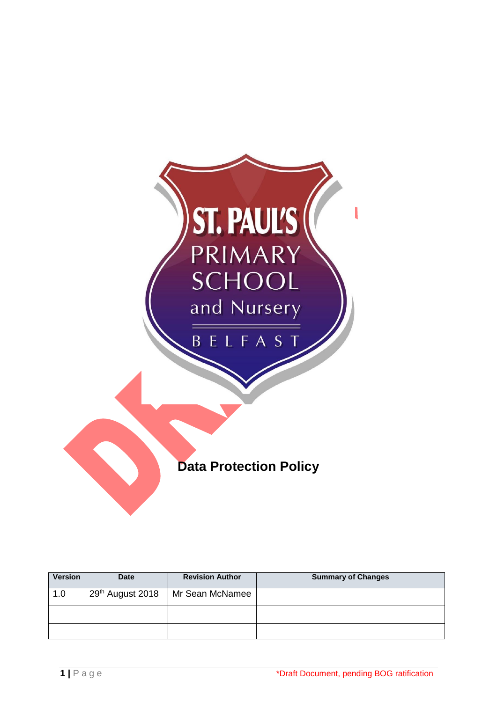

| <b>Version</b> | <b>Date</b>                  | <b>Revision Author</b> | <b>Summary of Changes</b> |
|----------------|------------------------------|------------------------|---------------------------|
| 1.0            | 29 <sup>th</sup> August 2018 | Mr Sean McNamee        |                           |
|                |                              |                        |                           |
|                |                              |                        |                           |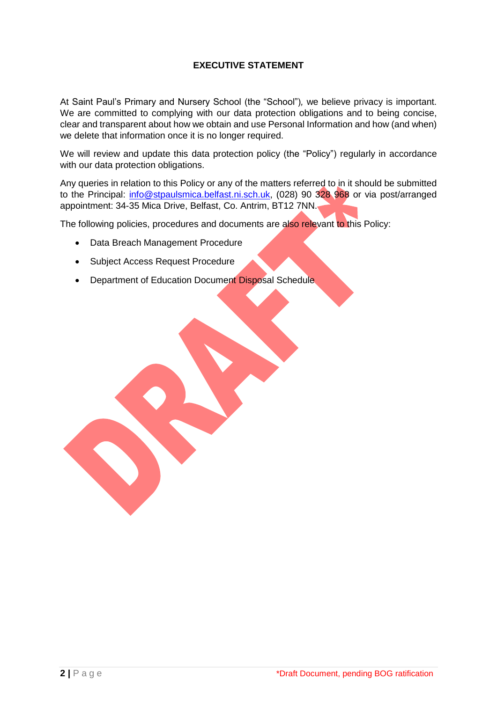## **EXECUTIVE STATEMENT**

At Saint Paul's Primary and Nursery School (the "School")*,* we believe privacy is important. We are committed to complying with our data protection obligations and to being concise, clear and transparent about how we obtain and use Personal Information and how (and when) we delete that information once it is no longer required.

We will review and update this data protection policy (the "Policy") regularly in accordance with our data protection obligations.

Any queries in relation to this Policy or any of the matters referred to in it should be submitted to the Principal: [info@stpaulsmica.belfast.ni.sch.uk,](mailto:smcnamee381@stpaulsmica.belfast.ni.sch.uk) (028) 90 328 968 or via post/arranged appointment: 34-35 Mica Drive, Belfast, Co. Antrim, BT12 7NN.

The following policies, procedures and documents are also relevant to this Policy:

- Data Breach Management Procedure
- Subject Access Request Procedure
- Department of Education Document Disposal Schedule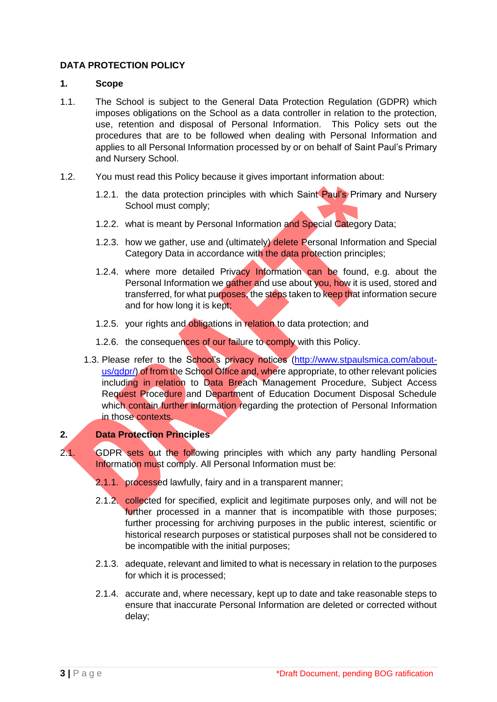## **DATA PROTECTION POLICY**

### **1. Scope**

- 1.1. The School is subject to the General Data Protection Regulation (GDPR) which imposes obligations on the School as a data controller in relation to the protection, use, retention and disposal of Personal Information. This Policy sets out the procedures that are to be followed when dealing with Personal Information and applies to all Personal Information processed by or on behalf of Saint Paul's Primary and Nursery School.
- 1.2. You must read this Policy because it gives important information about:
	- 1.2.1. the data protection principles with which Saint Paul's Primary and Nursery School must comply;
	- 1.2.2. what is meant by Personal Information and Special Category Data;
	- 1.2.3. how we gather, use and (ultimately) delete Personal Information and Special Category Data in accordance with the data protection principles;
	- 1.2.4. where more detailed Privacy Information can be found, e.g. about the Personal Information we gather and use about you, how it is used, stored and transferred, for what purposes, the steps taken to keep that information secure and for how long it is kept;
	- 1.2.5. your rights and obligations in relation to data protection; and
	- 1.2.6. the consequences of our failure to comply with this Policy.
	- 1.3. Please refer to the School's privacy notices [\(http://www.stpaulsmica.com/about](http://www.stpaulsmica.com/about-us/gdpr/)[us/gdpr/\)](http://www.stpaulsmica.com/about-us/gdpr/) of from the School Office and, where appropriate, to other relevant policies including in relation to Data Breach Management Procedure, Subject Access Request Procedure and Department of Education Document Disposal Schedule which contain further information regarding the protection of Personal Information in those contexts.

# **2. Data Protection Principles**

- 2.1. GDPR sets out the following principles with which any party handling Personal Information must comply. All Personal Information must be:
	- 2.1.1. processed lawfully, fairy and in a transparent manner;
	- 2.1.2. collected for specified, explicit and legitimate purposes only, and will not be further processed in a manner that is incompatible with those purposes; further processing for archiving purposes in the public interest, scientific or historical research purposes or statistical purposes shall not be considered to be incompatible with the initial purposes;
	- 2.1.3. adequate, relevant and limited to what is necessary in relation to the purposes for which it is processed;
	- 2.1.4. accurate and, where necessary, kept up to date and take reasonable steps to ensure that inaccurate Personal Information are deleted or corrected without delay;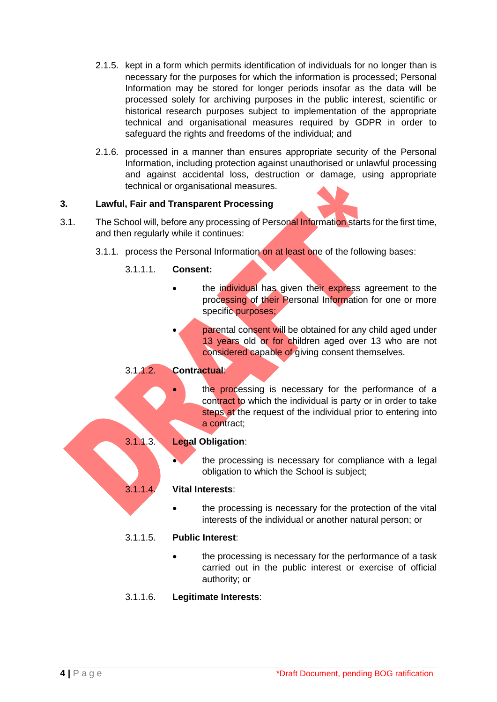- 2.1.5. kept in a form which permits identification of individuals for no longer than is necessary for the purposes for which the information is processed; Personal Information may be stored for longer periods insofar as the data will be processed solely for archiving purposes in the public interest, scientific or historical research purposes subject to implementation of the appropriate technical and organisational measures required by GDPR in order to safeguard the rights and freedoms of the individual; and
- 2.1.6. processed in a manner than ensures appropriate security of the Personal Information, including protection against unauthorised or unlawful processing and against accidental loss, destruction or damage, using appropriate technical or organisational measures.

## **3. Lawful, Fair and Transparent Processing**

- 3.1. The School will, before any processing of Personal Information starts for the first time, and then regularly while it continues:
	- 3.1.1. process the Personal Information on at least one of the following bases:

## 3.1.1.1. **Consent:**

- the individual has given their express agreement to the processing of their Personal Information for one or more specific purposes;
	- parental consent will be obtained for any child aged under 13 years old or for children aged over 13 who are not considered capable of giving consent themselves.

# 3.1.1.2. **Contractual**:

the processing is necessary for the performance of a contract to which the individual is party or in order to take steps at the request of the individual prior to entering into a contract;

#### 3.1.1.3. **Legal Obligation**:

the processing is necessary for compliance with a legal obligation to which the School is subject;

#### 3.1.1.4. **Vital Interests**:

the processing is necessary for the protection of the vital interests of the individual or another natural person; or

#### 3.1.1.5. **Public Interest**:

• the processing is necessary for the performance of a task carried out in the public interest or exercise of official authority; or

## 3.1.1.6. **Legitimate Interests**: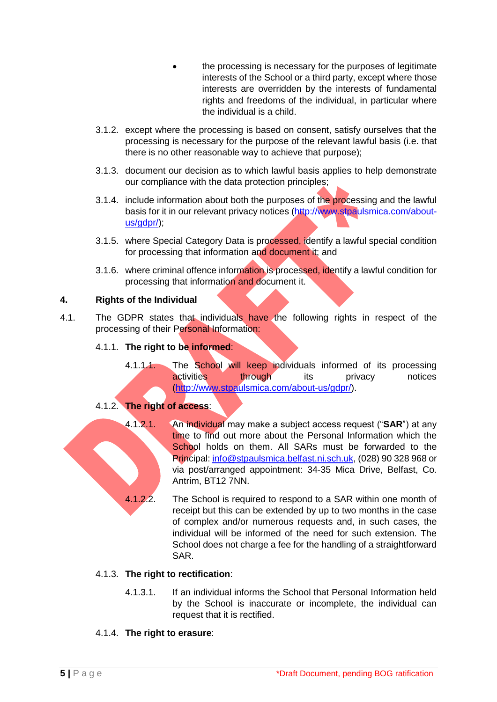- the processing is necessary for the purposes of legitimate interests of the School or a third party, except where those interests are overridden by the interests of fundamental rights and freedoms of the individual, in particular where the individual is a child.
- 3.1.2. except where the processing is based on consent, satisfy ourselves that the processing is necessary for the purpose of the relevant lawful basis (i.e. that there is no other reasonable way to achieve that purpose);
- 3.1.3. document our decision as to which lawful basis applies to help demonstrate our compliance with the data protection principles;
- 3.1.4. include information about both the purposes of the processing and the lawful basis for it in our relevant privacy notices [\(http://www.stpaulsmica.com/about](http://www.stpaulsmica.com/about-us/gdpr/)us/adpr/):
- 3.1.5. where Special Category Data is processed, identify a lawful special condition for processing that information and document it; and
- 3.1.6. where criminal offence information is processed, identify a lawful condition for processing that information and document it.

# **4. Rights of the Individual**

4.1. The GDPR states that individuals have the following rights in respect of the processing of their Personal Information:

## 4.1.1. **The right to be informed**:

4.1.1.1. The School will keep individuals informed of its processing **activities** through its privacy notices [\(http://www.stpaulsmica.com/about-us/gdpr/\)](http://www.stpaulsmica.com/about-us/gdpr/).

# 4.1.2. **The right of access**:

- 4.1.2.1. An individual may make a subject access request ("**SAR**") at any time to find out more about the Personal Information which the School holds on them. All SARs must be forwarded to the Principal: [info@stpaulsmica.belfast.ni.sch.uk,](mailto:smcnamee381@stpaulsmica.belfast.ni.sch.uk) (028) 90 328 968 or via post/arranged appointment: 34-35 Mica Drive, Belfast, Co. Antrim, BT12 7NN.
	- 4.1.2.2. The School is required to respond to a SAR within one month of receipt but this can be extended by up to two months in the case of complex and/or numerous requests and, in such cases, the individual will be informed of the need for such extension. The School does not charge a fee for the handling of a straightforward SAR.

# 4.1.3. **The right to rectification**:

4.1.3.1. If an individual informs the School that Personal Information held by the School is inaccurate or incomplete, the individual can request that it is rectified.

# 4.1.4. **The right to erasure**: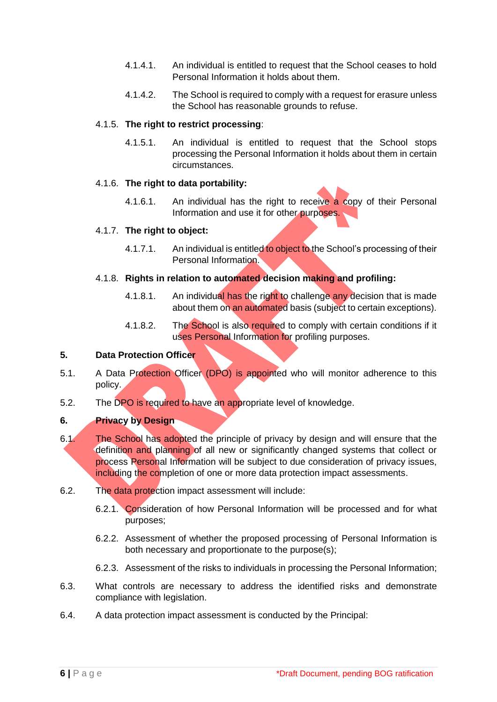- 4.1.4.1. An individual is entitled to request that the School ceases to hold Personal Information it holds about them.
- 4.1.4.2. The School is required to comply with a request for erasure unless the School has reasonable grounds to refuse.

### 4.1.5. **The right to restrict processing**:

4.1.5.1. An individual is entitled to request that the School stops processing the Personal Information it holds about them in certain circumstances.

## 4.1.6. **The right to data portability:**

4.1.6.1. An individual has the right to receive a copy of their Personal Information and use it for other purposes.

## 4.1.7. **The right to object:**

4.1.7.1. An individual is entitled to object to the School's processing of their Personal Information.

## 4.1.8. **Rights in relation to automated decision making and profiling:**

- 4.1.8.1. An individual has the right to challenge any decision that is made about them on an automated basis (subject to certain exceptions).
- 4.1.8.2. The School is also required to comply with certain conditions if it uses Personal Information for profiling purposes.

### **5. Data Protection Officer**

- 5.1. A Data Protection Officer (DPO) is appointed who will monitor adherence to this policy.
- 5.2. The DPO is required to have an appropriate level of knowledge.

## **6. Privacy by Design**

- 6.1. The School has adopted the principle of privacy by design and will ensure that the definition and planning of all new or significantly changed systems that collect or process Personal Information will be subject to due consideration of privacy issues, including the completion of one or more data protection impact assessments.
- 6.2. The data protection impact assessment will include:
	- 6.2.1. Consideration of how Personal Information will be processed and for what purposes;
	- 6.2.2. Assessment of whether the proposed processing of Personal Information is both necessary and proportionate to the purpose(s);
	- 6.2.3. Assessment of the risks to individuals in processing the Personal Information;
- 6.3. What controls are necessary to address the identified risks and demonstrate compliance with legislation.
- 6.4. A data protection impact assessment is conducted by the Principal: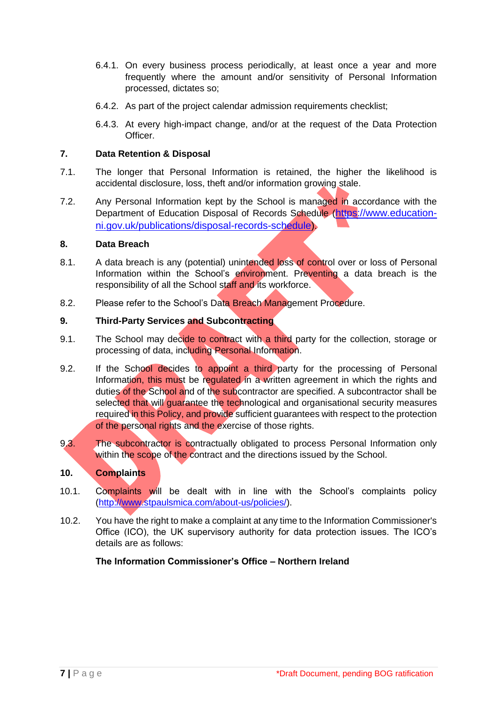- 6.4.1. On every business process periodically, at least once a year and more frequently where the amount and/or sensitivity of Personal Information processed, dictates so;
- 6.4.2. As part of the project calendar admission requirements checklist;
- 6.4.3. At every high-impact change, and/or at the request of the Data Protection Officer.

## **7. Data Retention & Disposal**

- 7.1. The longer that Personal Information is retained, the higher the likelihood is accidental disclosure, loss, theft and/or information growing stale.
- 7.2. Any Personal Information kept by the School is managed in accordance with the Department of Education Disposal of Records Schedule ([https://www.education](https://www.education-ni.gov.uk/publications/disposal-records-schedule)[ni.gov.uk/publications/disposal-records-schedule\)](https://www.education-ni.gov.uk/publications/disposal-records-schedule).

## **8. Data Breach**

- 8.1. A data breach is any (potential) unintended loss of control over or loss of Personal Information within the School's environment. Preventing a data breach is the responsibility of all the School staff and its workforce.
- 8.2. Please refer to the School's Data Breach Management Procedure.

## **9. Third-Party Services and Subcontracting**

- 9.1. The School may decide to contract with a third party for the collection, storage or processing of data, including Personal Information.
- 9.2. If the School decides to appoint a third party for the processing of Personal Information, this must be regulated in a written agreement in which the rights and duties of the School and of the subcontractor are specified. A subcontractor shall be selected that will guarantee the technological and organisational security measures required in this Policy, and provide sufficient guarantees with respect to the protection of the personal rights and the exercise of those rights.
- 9.3. The subcontractor is contractually obligated to process Personal Information only within the scope of the contract and the directions issued by the School.

## **10. Complaints**

- 10.1. Complaints will be dealt with in line with the School's complaints policy [\(http://www.stpaulsmica.com/about-us/policies/\)](http://www.stpaulsmica.com/about-us/policies/).
- 10.2. You have the right to make a complaint at any time to the Information Commissioner's Office (ICO), the UK supervisory authority for data protection issues. The ICO's details are as follows:

## **The Information Commissioner's Office – Northern Ireland**